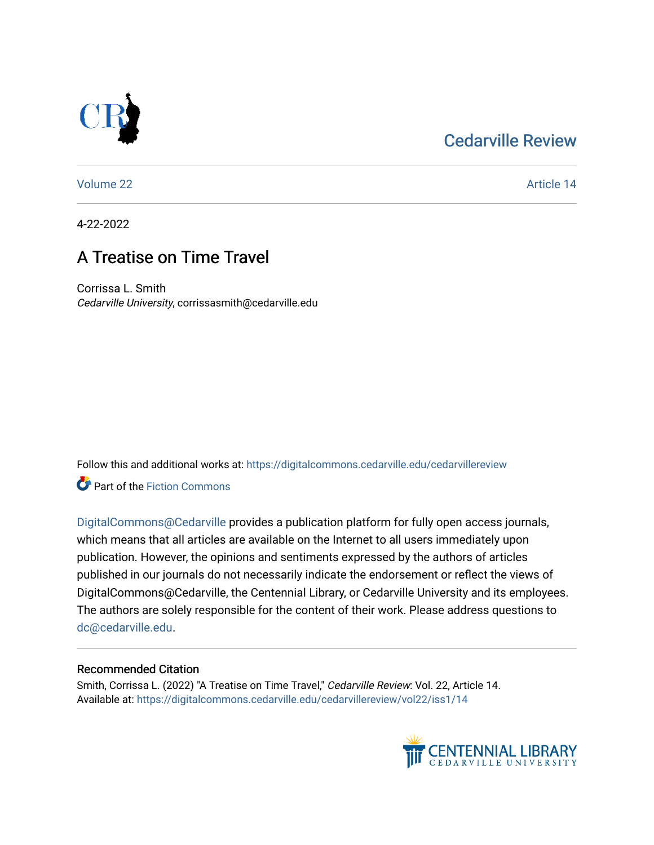## [Cedarville Review](https://digitalcommons.cedarville.edu/cedarvillereview)



[Volume 22](https://digitalcommons.cedarville.edu/cedarvillereview/vol22) Article 14

4-22-2022

# A Treatise on Time Travel

Corrissa L. Smith Cedarville University, corrissasmith@cedarville.edu

Follow this and additional works at: [https://digitalcommons.cedarville.edu/cedarvillereview](https://digitalcommons.cedarville.edu/cedarvillereview?utm_source=digitalcommons.cedarville.edu%2Fcedarvillereview%2Fvol22%2Fiss1%2F14&utm_medium=PDF&utm_campaign=PDFCoverPages) 

**Part of the Fiction Commons** 

[DigitalCommons@Cedarville](http://digitalcommons.cedarville.edu/) provides a publication platform for fully open access journals, which means that all articles are available on the Internet to all users immediately upon publication. However, the opinions and sentiments expressed by the authors of articles published in our journals do not necessarily indicate the endorsement or reflect the views of DigitalCommons@Cedarville, the Centennial Library, or Cedarville University and its employees. The authors are solely responsible for the content of their work. Please address questions to [dc@cedarville.edu.](mailto:dc@cedarville.edu)

#### Recommended Citation

Smith, Corrissa L. (2022) "A Treatise on Time Travel," Cedarville Review: Vol. 22, Article 14. Available at: [https://digitalcommons.cedarville.edu/cedarvillereview/vol22/iss1/14](https://digitalcommons.cedarville.edu/cedarvillereview/vol22/iss1/14?utm_source=digitalcommons.cedarville.edu%2Fcedarvillereview%2Fvol22%2Fiss1%2F14&utm_medium=PDF&utm_campaign=PDFCoverPages)

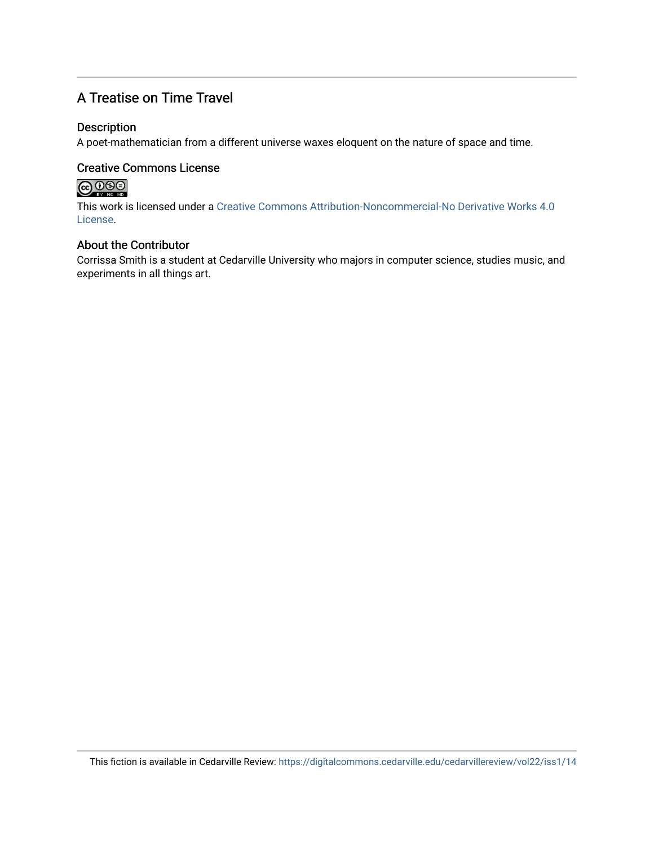## A Treatise on Time Travel

#### Description

A poet-mathematician from a different universe waxes eloquent on the nature of space and time.

### Creative Commons License



This work is licensed under a [Creative Commons Attribution-Noncommercial-No Derivative Works 4.0](http://creativecommons.org/licenses/by-nc-nd/4.0/) [License](http://creativecommons.org/licenses/by-nc-nd/4.0/).

#### About the Contributor

Corrissa Smith is a student at Cedarville University who majors in computer science, studies music, and experiments in all things art.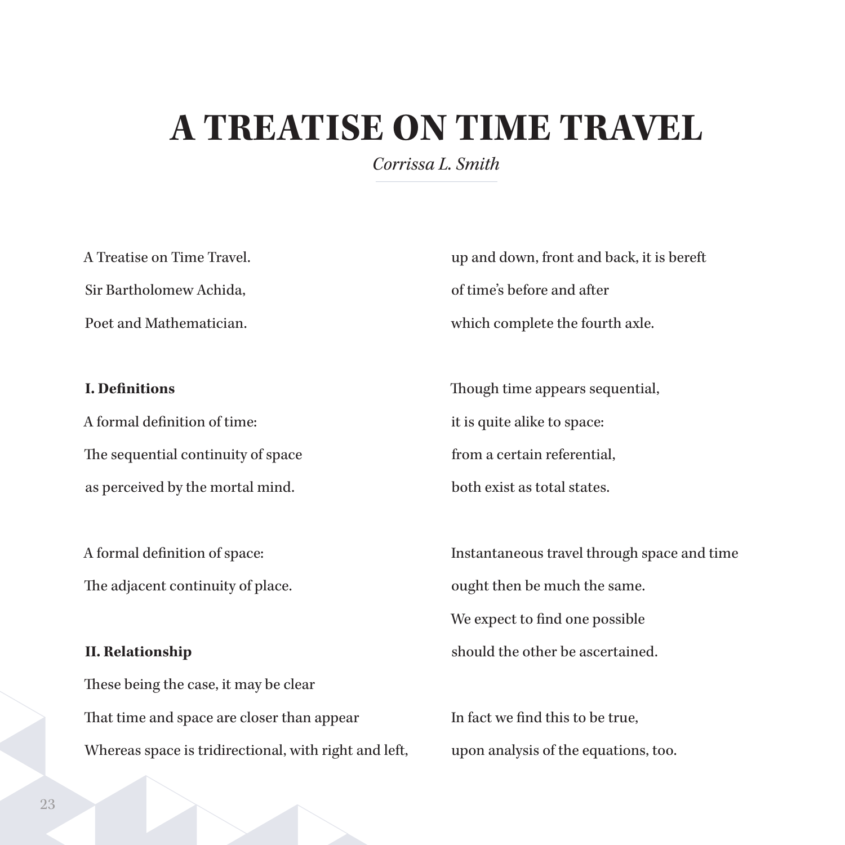# **A TREATISE ON TIME TRAVEL**

*Corrissa L. Smith*

A Treatise on Time Travel. Sir Bartholomew Achida, Poet and Mathematician.

#### **I. Definitions**

A formal definition of time: The sequential continuity of space as perceived by the mortal mind.

A formal definition of space: The adjacent continuity of place.

#### **II. Relationship**

These being the case, it may be clear That time and space are closer than appear Whereas space is tridirectional, with right and left, up and down, front and back, it is bereft of time's before and after which complete the fourth axle.

Though time appears sequential, it is quite alike to space: from a certain referential, both exist as total states.

Instantaneous travel through space and time ought then be much the same. We expect to find one possible should the other be ascertained.

In fact we find this to be true, upon analysis of the equations, too.